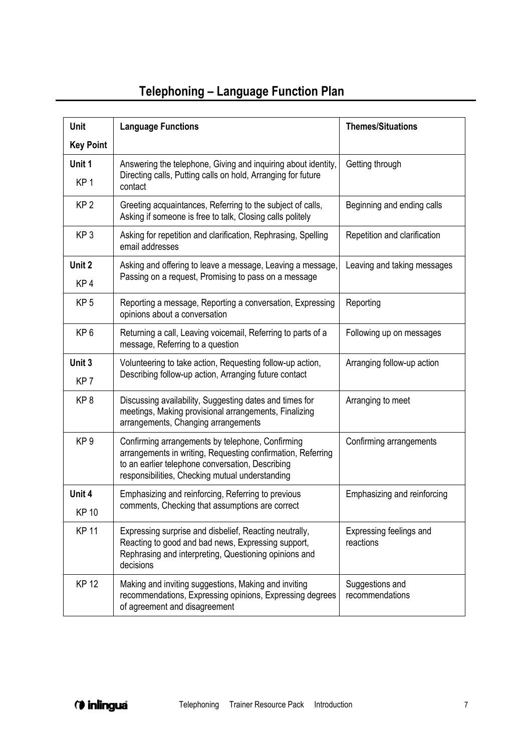## **Telephoning – Language Function Plan**

| Unit                      | <b>Language Functions</b>                                                                                                                                                                                              | <b>Themes/Situations</b>             |
|---------------------------|------------------------------------------------------------------------------------------------------------------------------------------------------------------------------------------------------------------------|--------------------------------------|
| <b>Key Point</b>          |                                                                                                                                                                                                                        |                                      |
| Unit 1<br>KP <sub>1</sub> | Answering the telephone, Giving and inquiring about identity,<br>Directing calls, Putting calls on hold, Arranging for future<br>contact                                                                               | Getting through                      |
| KP <sub>2</sub>           | Greeting acquaintances, Referring to the subject of calls,<br>Asking if someone is free to talk, Closing calls politely                                                                                                | Beginning and ending calls           |
| KP <sub>3</sub>           | Asking for repetition and clarification, Rephrasing, Spelling<br>email addresses                                                                                                                                       | Repetition and clarification         |
| Unit 2<br>KP4             | Asking and offering to leave a message, Leaving a message,<br>Passing on a request, Promising to pass on a message                                                                                                     | Leaving and taking messages          |
| KP <sub>5</sub>           | Reporting a message, Reporting a conversation, Expressing<br>opinions about a conversation                                                                                                                             | Reporting                            |
| KP <sub>6</sub>           | Returning a call, Leaving voicemail, Referring to parts of a<br>message, Referring to a question                                                                                                                       | Following up on messages             |
| Unit 3<br>KP <sub>7</sub> | Volunteering to take action, Requesting follow-up action,<br>Describing follow-up action, Arranging future contact                                                                                                     | Arranging follow-up action           |
| KP <sub>8</sub>           | Discussing availability, Suggesting dates and times for<br>meetings, Making provisional arrangements, Finalizing<br>arrangements, Changing arrangements                                                                | Arranging to meet                    |
| KP <sub>9</sub>           | Confirming arrangements by telephone, Confirming<br>arrangements in writing, Requesting confirmation, Referring<br>to an earlier telephone conversation, Describing<br>responsibilities, Checking mutual understanding | Confirming arrangements              |
| Unit 4                    | Emphasizing and reinforcing, Referring to previous<br>comments, Checking that assumptions are correct                                                                                                                  | Emphasizing and reinforcing          |
| <b>KP 10</b>              |                                                                                                                                                                                                                        |                                      |
| <b>KP11</b>               | Expressing surprise and disbelief, Reacting neutrally,<br>Reacting to good and bad news, Expressing support,<br>Rephrasing and interpreting, Questioning opinions and<br>decisions                                     | Expressing feelings and<br>reactions |
| <b>KP12</b>               | Making and inviting suggestions, Making and inviting<br>recommendations, Expressing opinions, Expressing degrees<br>of agreement and disagreement                                                                      | Suggestions and<br>recommendations   |